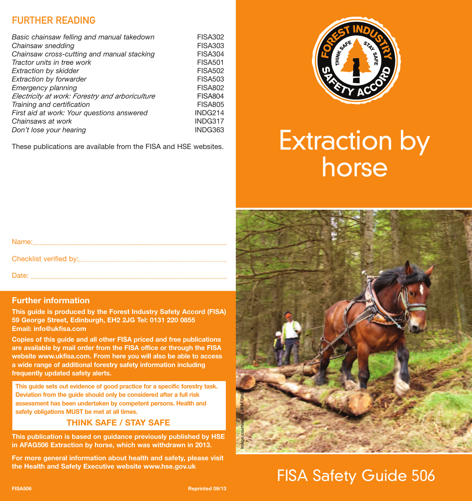#### FURTHER READING

| Basic chainsaw felling and manual takedown      | <b>FISA302</b> |
|-------------------------------------------------|----------------|
| Chainsaw snedding                               | <b>FISA303</b> |
| Chainsaw cross-cutting and manual stacking      | <b>FISA304</b> |
| Tractor units in tree work                      | <b>FISA501</b> |
| Extraction by skidder                           | <b>FISA502</b> |
| <b>Extraction by forwarder</b>                  | <b>FISA503</b> |
| Emergency planning                              | <b>FISA802</b> |
| Electricity at work: Forestry and arboriculture | <b>FISA804</b> |
| Training and certification                      | <b>FISA805</b> |
| First aid at work: Your questions answered      | INDG214        |
| Chainsaws at work                               | INDG317        |
| Don't lose your hearing                         | INDG363        |
|                                                 |                |

These publications are available from the FISA and HSE websites.



# Extraction by horse

#### **Further information**

**This guide is produced by the Forest Industry Safety Accord (FISA) 59 George Street, Edinburgh, EH2 2JG Tel: 0131 220 0855 Email: info@ukfisa.com**

**Copies of this guide and all other FISA priced and free publications are available by mail order from the FISA office or through the FISA website www.ukfisa.com. From here you will also be able to access a wide range of additional forestry safety information including frequently updated safety alerts.**

**This guide sets out evidence of good practice for a specific forestry task. Deviation from the guide should only be considered after a full risk assessment has been undertaken by competent persons. Health and safety obligations MUST be met at all times.**

#### **THINK SAFE / STAY SAFE**

**This publication is based on guidance previously published by HSE in AFAG506 Extraction by horse, which was withdrawn in 2013.**

**For more general information about health and safety, please visit the Health and Safety Executive website www.hse.gov.uk**



## FISA Safety Guide 506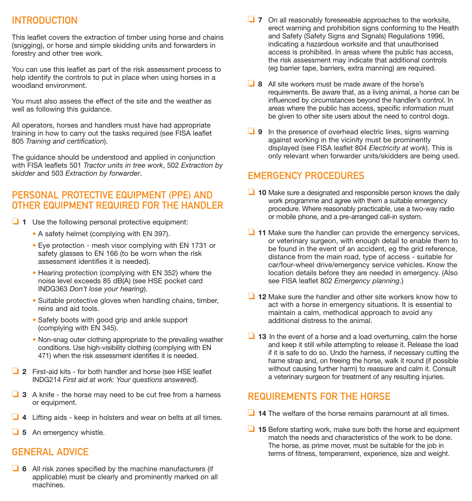#### INTRODUCTION

This leaflet covers the extraction of timber using horse and chains (snigging), or horse and simple skidding units and forwarders in forestry and other tree work.

You can use this leaflet as part of the risk assessment process to help identify the controls to put in place when using horses in a woodland environment.

You must also assess the effect of the site and the weather as well as following this guidance.

All operators, horses and handlers must have had appropriate training in how to carry out the tasks required (see FISA leaflet 805 *Training and certification*).

The guidance should be understood and applied in conjunction with FISA leaflets 501 *Tractor units in tree work*, 502 *Extraction by skidder* and 503 *Extraction by forwarder*.

#### PERSONAL PROTECTIVE EQUIPMENT (PPE) AND OTHER EQUIPMENT REQUIRED FOR THE HANDLER

- ❏ **<sup>1</sup>** Use the following personal protective equipment:
	- A safety helmet (complying with EN 397).
	- Eye protection mesh visor complying with EN 1731 or safety glasses to EN 166 (to be worn when the risk assessment identifies it is needed).
	- Hearing protection (complying with EN 352) where the noise level exceeds 85 dB(A) (see HSE pocket card INDG363 *Don't lose your hearing*).
	- Suitable protective gloves when handling chains, timber, reins and aid tools.
	- Safety boots with good grip and ankle support (complying with EN 345).
	- Non-snag outer clothing appropriate to the prevailing weather conditions. Use high-visibility clothing (complying with EN 471) when the risk assessment identifies it is needed.
- ❏ **<sup>2</sup>** First-aid kits for both handler and horse (see HSE leaflet INDG214 *First aid at work: Your questions answered*).
- ❏ **<sup>3</sup>** <sup>A</sup> knife the horse may need to be cut free from <sup>a</sup> harness or equipment.
- ❏ **<sup>4</sup>** Lifting aids keep in holsters and wear on belts at all times.
- ❏ **<sup>5</sup>** An emergency whistle.

#### GENERAL ADVICE

❏ **<sup>6</sup>** All risk zones specified by the machine manufacturers (if applicable) must be clearly and prominently marked on all machines.

- ❏ **<sup>7</sup>** On all reasonably foreseeable approaches to the worksite, erect warning and prohibition signs conforming to the Health and Safety (Safety Signs and Signals) Regulations 1996. indicating a hazardous worksite and that unauthorised access is prohibited. In areas where the public has access, the risk assessment may indicate that additional controls (eg barrier tape, barriers, extra manning) are required.
- ❏ **<sup>8</sup>** All site workers must be made aware of the horse's requirements. Be aware that, as a living animal, a horse can be influenced by circumstances beyond the handler's control. In areas where the public has access, specific information must be given to other site users about the need to control dogs.
- ❏ **<sup>9</sup>** In the presence of overhead electric lines, signs warning against working in the vicinity must be prominently displayed (see FISA leaflet 804 *Electricity at work*). This is only relevant when forwarder units/skidders are being used.

#### EMERGENCY PROCEDURES

- ❏ **<sup>10</sup>** Make sure <sup>a</sup> designated and responsible person knows the daily work programme and agree with them a suitable emergency procedure. Where reasonably practicable, use a two-way radio or mobile phone, and a pre-arranged call-in system.
- ❏ **<sup>11</sup>** Make sure the handler can provide the emergency services, or veterinary surgeon, with enough detail to enable them to be found in the event of an accident, eg the grid reference, distance from the main road, type of access - suitable for car/four-wheel drive/emergency service vehicles. Know the location details before they are needed in emergency. (Also see FISA leaflet 802 *Emergency planning*.)
- ❏ **<sup>12</sup>** Make sure the handler and other site workers know how to act with a horse in emergency situations. It is essential to maintain a calm, methodical approach to avoid any additional distress to the animal.
- ❏ **<sup>13</sup>** In the event of <sup>a</sup> horse and <sup>a</sup> load overturning, calm the horse and keep it still while attempting to release it. Release the load if it is safe to do so. Undo the harness, if necessary cutting the hame strap and, on freeing the horse, walk it round (if possible without causing further harm) to reassure and calm it. Consult a veterinary surgeon for treatment of any resulting injuries.

#### REQUIREMENTS FOR THE HORSE

- ❏ **<sup>14</sup>** The welfare of the horse remains paramount at all times.
- ❏ **<sup>15</sup>** Before starting work, make sure both the horse and equipment match the needs and characteristics of the work to be done. The horse, as prime mover, must be suitable for the job in terms of fitness, temperament, experience, size and weight.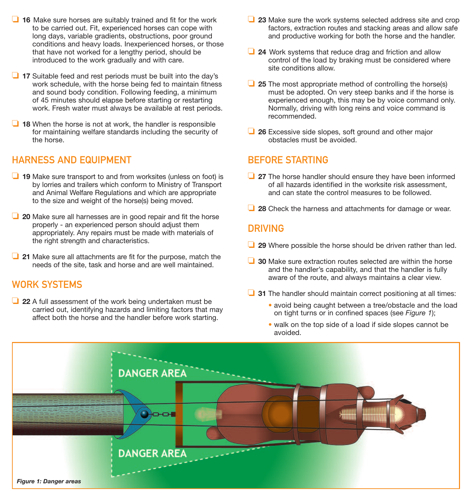- ❏ **<sup>16</sup>** Make sure horses are suitably trained and fit for the work to be carried out. Fit, experienced horses can cope with long days, variable gradients, obstructions, poor ground conditions and heavy loads. Inexperienced horses, or those that have not worked for a lengthy period, should be introduced to the work gradually and with care.
- ❏ **<sup>17</sup>** Suitable feed and rest periods must be built into the day's work schedule, with the horse being fed to maintain fitness and sound body condition. Following feeding, a minimum of 45 minutes should elapse before starting or restarting work. Fresh water must always be available at rest periods.
- ❏ **<sup>18</sup>** When the horse is not at work, the handler is responsible for maintaining welfare standards including the security of the horse.

#### HARNESS AND EQUIPMENT

- ❏ **<sup>19</sup>** Make sure transport to and from worksites (unless on foot) is by lorries and trailers which conform to Ministry of Transport and Animal Welfare Regulations and which are appropriate to the size and weight of the horse(s) being moved.
- ❏ **<sup>20</sup>** Make sure all harnesses are in good repair and fit the horse properly - an experienced person should adjust them appropriately. Any repairs must be made with materials of the right strength and characteristics.
- ❏ **<sup>21</sup>** Make sure all attachments are fit for the purpose, match the needs of the site, task and horse and are well maintained.

#### WORK SYSTEMS

❏ **<sup>22</sup>** <sup>A</sup> full assessment of the work being undertaken must be carried out, identifying hazards and limiting factors that may affect both the horse and the handler before work starting.

- ❏ **<sup>23</sup>** Make sure the work systems selected address site and crop factors, extraction routes and stacking areas and allow safe and productive working for both the horse and the handler.
- ❏ **<sup>24</sup>** Work systems that reduce drag and friction and allow control of the load by braking must be considered where site conditions allow.
- ❏ **<sup>25</sup>** The most appropriate method of controlling the horse(s) must be adopted. On very steep banks and if the horse is experienced enough, this may be by voice command only. Normally, driving with long reins and voice command is recommended.
- ❏ **<sup>26</sup>** Excessive side slopes, soft ground and other major obstacles must be avoided.

#### BEFORE STARTING

- ❏ **<sup>27</sup>** The horse handler should ensure they have been informed of all hazards identified in the worksite risk assessment, and can state the control measures to be followed.
- ❏ **<sup>28</sup>** Check the harness and attachments for damage or wear.

#### DRIVING

- ❏ **<sup>29</sup>** Where possible the horse should be driven rather than led.
- ❏ **<sup>30</sup>** Make sure extraction routes selected are within the horse and the handler's capability, and that the handler is fully aware of the route, and always maintains a clear view.
- ❏ **<sup>31</sup>** The handler should maintain correct positioning at all times:
	- avoid being caught between a tree/obstacle and the load on tight turns or in confined spaces (see *Figure 1*);
	- walk on the top side of a load if side slopes cannot be avoided.